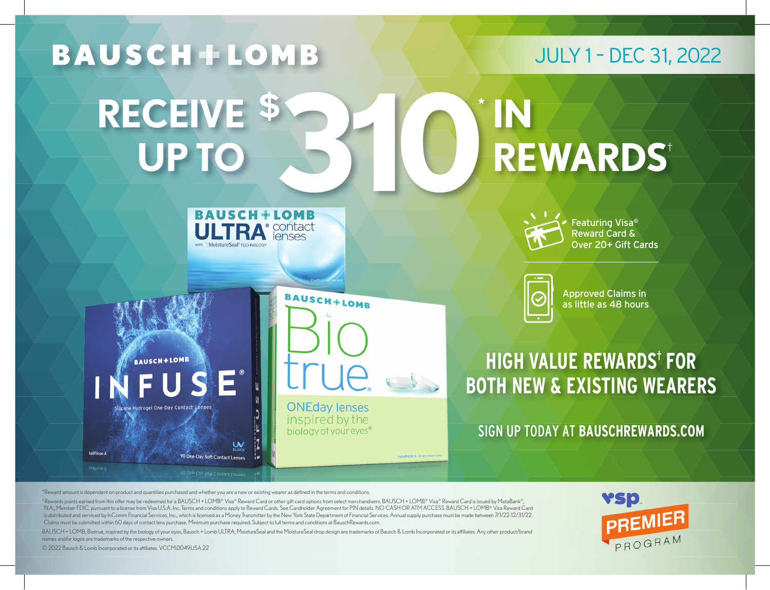

\*Reward amount is dependent on product and quantities purchased and whether you are a new or existing wearer as defined in the terms and conditions.

 $^{\dagger}$ Rewards points earned from this offer may be redeemed for a BAUSCH + LOMB® Visa® Reward Card or other gift card options from select merchandisers. BAUSCH + LOMB® Visa® Reward Card is issued by MetaBank®, N.A., Member FDIC, pursuant to a license from Visa U.S.A. Inc. Terms and conditions apply to Reward Cards. See Cardholder Agreement for PIN details. NO CASH OR ATM ACCESS. BAUSCH + LOMB® Visa Reward Card is distributed and serviced by InComm Financial Services, Inc., which is licensed as a Money Transmitter by the New York State Department of Financial Services. Annual supply purchase must be made between 7/1/22-12/31/22. Claims must be submitted within 60 days of contact lens purchase. Minimum purchase required. Subject to full terms and conditions at BauschRewards.com.

BAUSCH + LOMB, Biotrue, inspired by the biology of your eyes, Bausch + Lomb ULTRA, MoistureSeal and the MoistureSeal drop design are trademarks of Bausch & Lomb Incorporated or its affiliates. Any other product/brand names and/or logos are trademarks of the respective owners.

© 2022 Bausch & Lomb Incorporated or its affiliates. VCCM.0049.USA.22